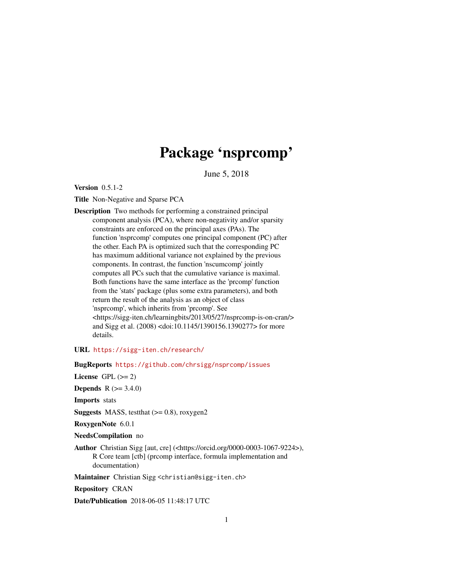## Package 'nsprcomp'

June 5, 2018

<span id="page-0-0"></span>Version 0.5.1-2

Title Non-Negative and Sparse PCA

Description Two methods for performing a constrained principal component analysis (PCA), where non-negativity and/or sparsity constraints are enforced on the principal axes (PAs). The function 'nsprcomp' computes one principal component (PC) after the other. Each PA is optimized such that the corresponding PC has maximum additional variance not explained by the previous components. In contrast, the function 'nscumcomp' jointly computes all PCs such that the cumulative variance is maximal. Both functions have the same interface as the 'prcomp' function from the 'stats' package (plus some extra parameters), and both return the result of the analysis as an object of class 'nsprcomp', which inherits from 'prcomp'. See <https://sigg-iten.ch/learningbits/2013/05/27/nsprcomp-is-on-cran/> and Sigg et al. (2008) <doi:10.1145/1390156.1390277> for more details.

URL <https://sigg-iten.ch/research/>

BugReports <https://github.com/chrsigg/nsprcomp/issues>

License GPL  $(>= 2)$ 

**Depends** R  $(>= 3.4.0)$ 

Imports stats

**Suggests** MASS, test that  $(>= 0.8)$ , roxygen2

RoxygenNote 6.0.1

NeedsCompilation no

Author Christian Sigg [aut, cre] (<https://orcid.org/0000-0003-1067-9224>), R Core team [ctb] (prcomp interface, formula implementation and documentation)

Maintainer Christian Sigg <christian@sigg-iten.ch>

Repository CRAN

Date/Publication 2018-06-05 11:48:17 UTC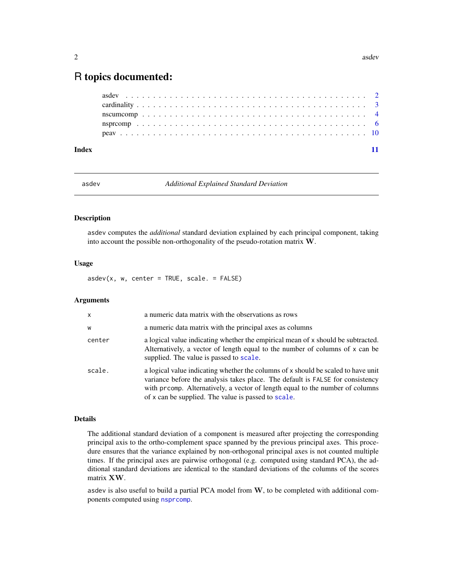### <span id="page-1-0"></span>R topics documented:

| Index |  |  |  |  |  |  |  |  |  |  |  |  |  |  |  |  |  |  |  |  |
|-------|--|--|--|--|--|--|--|--|--|--|--|--|--|--|--|--|--|--|--|--|
|       |  |  |  |  |  |  |  |  |  |  |  |  |  |  |  |  |  |  |  |  |
|       |  |  |  |  |  |  |  |  |  |  |  |  |  |  |  |  |  |  |  |  |
|       |  |  |  |  |  |  |  |  |  |  |  |  |  |  |  |  |  |  |  |  |
|       |  |  |  |  |  |  |  |  |  |  |  |  |  |  |  |  |  |  |  |  |
|       |  |  |  |  |  |  |  |  |  |  |  |  |  |  |  |  |  |  |  |  |

<span id="page-1-1"></span>

asdev *Additional Explained Standard Deviation*

#### Description

asdev computes the *additional* standard deviation explained by each principal component, taking into account the possible non-orthogonality of the pseudo-rotation matrix W.

#### Usage

 $asdev(x, w, center = TRUE, scale. = FALSE)$ 

#### Arguments

| $\mathsf{x}$ | a numeric data matrix with the observations as rows                                                                                                                                                                                                                                                         |
|--------------|-------------------------------------------------------------------------------------------------------------------------------------------------------------------------------------------------------------------------------------------------------------------------------------------------------------|
| W            | a numeric data matrix with the principal axes as columns                                                                                                                                                                                                                                                    |
| center       | a logical value indicating whether the empirical mean of x should be subtracted.<br>Alternatively, a vector of length equal to the number of columns of x can be<br>supplied. The value is passed to scale.                                                                                                 |
| scale.       | a logical value indicating whether the columns of x should be scaled to have unit<br>variance before the analysis takes place. The default is FALSE for consistency<br>with prcomp. Alternatively, a vector of length equal to the number of columns<br>of x can be supplied. The value is passed to scale. |

#### Details

The additional standard deviation of a component is measured after projecting the corresponding principal axis to the ortho-complement space spanned by the previous principal axes. This procedure ensures that the variance explained by non-orthogonal principal axes is not counted multiple times. If the principal axes are pairwise orthogonal (e.g. computed using standard PCA), the additional standard deviations are identical to the standard deviations of the columns of the scores matrix XW.

asdev is also useful to build a partial PCA model from  $W$ , to be completed with additional components computed using [nsprcomp](#page-5-1).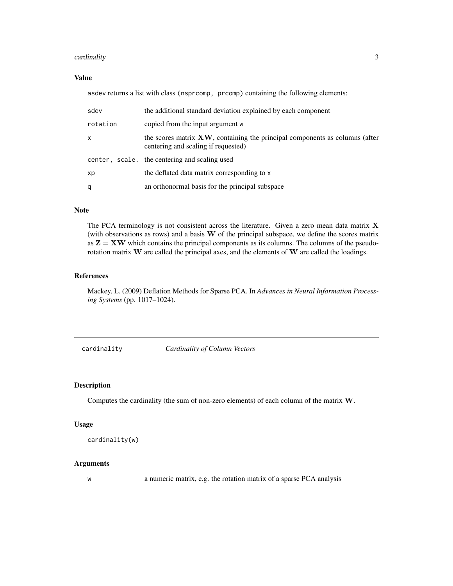#### <span id="page-2-0"></span>cardinality 3

#### Value

asdev returns a list with class (nsprcomp, prcomp) containing the following elements:

| sdev     | the additional standard deviation explained by each component                                                      |
|----------|--------------------------------------------------------------------------------------------------------------------|
| rotation | copied from the input argument w                                                                                   |
| X        | the scores matrix XW, containing the principal components as columns (after<br>centering and scaling if requested) |
|          | center, scale, the centering and scaling used                                                                      |
| хp       | the deflated data matrix corresponding to x                                                                        |
| q        | an orthonormal basis for the principal subspace                                                                    |

#### Note

The PCA terminology is not consistent across the literature. Given a zero mean data matrix X (with observations as rows) and a basis  $W$  of the principal subspace, we define the scores matrix as  $Z = XW$  which contains the principal components as its columns. The columns of the pseudorotation matrix W are called the principal axes, and the elements of W are called the loadings.

#### References

Mackey, L. (2009) Deflation Methods for Sparse PCA. In *Advances in Neural Information Processing Systems* (pp. 1017–1024).

cardinality *Cardinality of Column Vectors*

#### Description

Computes the cardinality (the sum of non-zero elements) of each column of the matrix W.

#### Usage

```
cardinality(w)
```
#### Arguments

w a numeric matrix, e.g. the rotation matrix of a sparse PCA analysis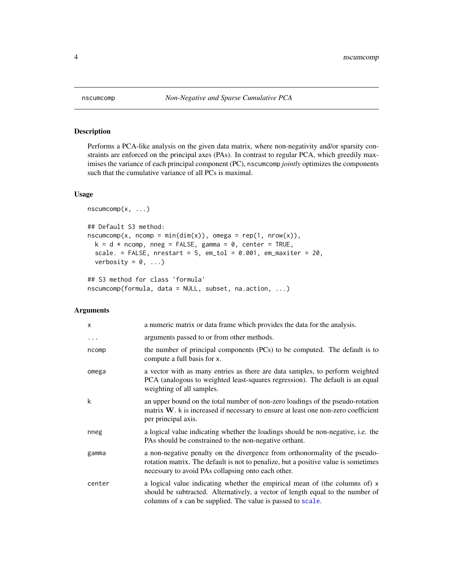<span id="page-3-0"></span>

#### Description

Performs a PCA-like analysis on the given data matrix, where non-negativity and/or sparsity constraints are enforced on the principal axes (PAs). In contrast to regular PCA, which greedily maximises the variance of each principal component (PC), nscumcomp *jointly* optimizes the components such that the cumulative variance of all PCs is maximal.

#### Usage

```
nscumcomp(x, \ldots)## Default S3 method:
nscumcomp(x, ncomp = min(dim(x)), omega = rep(1, nrow(x)),k = d * ncomp, mneg = FALSE, gamma = 0, center = TRUE,scale. = FALSE, nrestart = 5, em_tol = 0.001, em_maxiter = 20,
  verbosity = 0, \ldots)
```

```
## S3 method for class 'formula'
nscumcomp(formula, data = NULL, subset, na.action, ...)
```
#### Arguments

| X        | a numeric matrix or data frame which provides the data for the analysis.                                                                                                                                                     |
|----------|------------------------------------------------------------------------------------------------------------------------------------------------------------------------------------------------------------------------------|
| $\cdots$ | arguments passed to or from other methods.                                                                                                                                                                                   |
| ncomp    | the number of principal components (PCs) to be computed. The default is to<br>compute a full basis for x.                                                                                                                    |
| omega    | a vector with as many entries as there are data samples, to perform weighted<br>PCA (analogous to weighted least-squares regression). The default is an equal<br>weighting of all samples.                                   |
| k        | an upper bound on the total number of non-zero loadings of the pseudo-rotation<br>matrix W. k is increased if necessary to ensure at least one non-zero coefficient<br>per principal axis.                                   |
| nneg     | a logical value indicating whether the loadings should be non-negative, i.e. the<br>PAs should be constrained to the non-negative orthant.                                                                                   |
| gamma    | a non-negative penalty on the divergence from orthonormality of the pseudo-<br>rotation matrix. The default is not to penalize, but a positive value is sometimes<br>necessary to avoid PAs collapsing onto each other.      |
| center   | a logical value indicating whether the empirical mean of (the columns of) x<br>should be subtracted. Alternatively, a vector of length equal to the number of<br>columns of x can be supplied. The value is passed to scale. |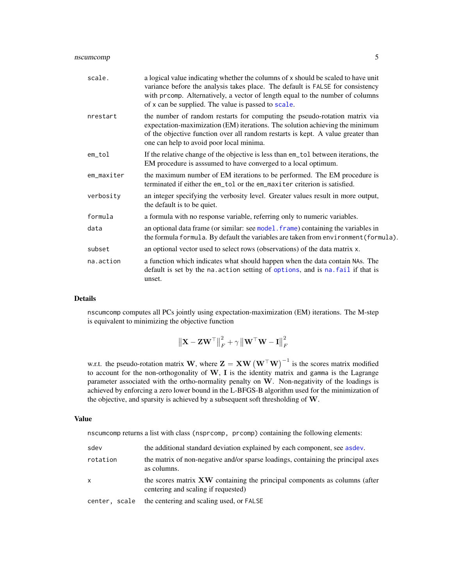<span id="page-4-0"></span>

| scale.     | a logical value indicating whether the columns of x should be scaled to have unit<br>variance before the analysis takes place. The default is FALSE for consistency<br>with prcomp. Alternatively, a vector of length equal to the number of columns<br>of x can be supplied. The value is passed to scale. |
|------------|-------------------------------------------------------------------------------------------------------------------------------------------------------------------------------------------------------------------------------------------------------------------------------------------------------------|
| nrestart   | the number of random restarts for computing the pseudo-rotation matrix via<br>expectation-maximization (EM) iterations. The solution achieving the minimum<br>of the objective function over all random restarts is kept. A value greater than<br>one can help to avoid poor local minima.                  |
| em_tol     | If the relative change of the objective is less than em_tol between iterations, the<br>EM procedure is asssumed to have converged to a local optimum.                                                                                                                                                       |
| em_maxiter | the maximum number of EM iterations to be performed. The EM procedure is<br>terminated if either the em_tol or the em_maxiter criterion is satisfied.                                                                                                                                                       |
| verbosity  | an integer specifying the verbosity level. Greater values result in more output,<br>the default is to be quiet.                                                                                                                                                                                             |
| formula    | a formula with no response variable, referring only to numeric variables.                                                                                                                                                                                                                                   |
| data       | an optional data frame (or similar: see model. frame) containing the variables in<br>the formula formula. By default the variables are taken from environment (formula).                                                                                                                                    |
| subset     | an optional vector used to select rows (observations) of the data matrix x.                                                                                                                                                                                                                                 |
| na.action  | a function which indicates what should happen when the data contain NAs. The<br>default is set by the na. action setting of options, and is na. fail if that is<br>unset.                                                                                                                                   |

#### Details

nscumcomp computes all PCs jointly using expectation-maximization (EM) iterations. The M-step is equivalent to minimizing the objective function

$$
\left\| \mathbf{X} - \mathbf{Z} \mathbf{W}^\top \right\|_F^2 + \gamma \left\| \mathbf{W}^\top \mathbf{W} - \mathbf{I} \right\|_F^2
$$

w.r.t. the pseudo-rotation matrix W, where  $\mathbf{Z} = \mathbf{X} \mathbf{W} (\mathbf{W}^\top \mathbf{W})^{-1}$  is the scores matrix modified to account for the non-orthogonality of  $W$ , I is the identity matrix and gamma is the Lagrange parameter associated with the ortho-normality penalty on W. Non-negativity of the loadings is achieved by enforcing a zero lower bound in the L-BFGS-B algorithm used for the minimization of the objective, and sparsity is achieved by a subsequent soft thresholding of W.

#### Value

nscumcomp returns a list with class (nsprcomp, prcomp) containing the following elements:

| sdev          | the additional standard deviation explained by each component, see as dev.                                               |
|---------------|--------------------------------------------------------------------------------------------------------------------------|
| rotation      | the matrix of non-negative and/or sparse loadings, containing the principal axes<br>as columns.                          |
| x             | the scores matrix <b>XW</b> containing the principal components as columns (after<br>centering and scaling if requested) |
| center, scale | the centering and scaling used, or FALSE                                                                                 |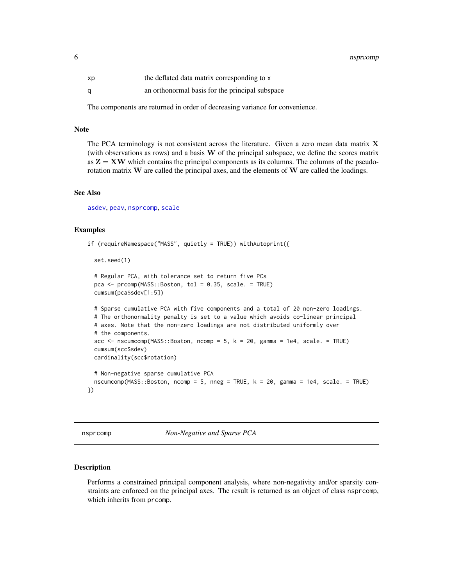<span id="page-5-0"></span>6 nsprcomp and the state of the state of the state of the state of the state of the state of the state of the state of the state of the state of the state of the state of the state of the state of the state of the state of

| хp | the deflated data matrix corresponding to x     |
|----|-------------------------------------------------|
| α  | an orthonormal basis for the principal subspace |

The components are returned in order of decreasing variance for convenience.

#### Note

The PCA terminology is not consistent across the literature. Given a zero mean data matrix  $X$ (with observations as rows) and a basis  $W$  of the principal subspace, we define the scores matrix as  $Z = XW$  which contains the principal components as its columns. The columns of the pseudorotation matrix W are called the principal axes, and the elements of W are called the loadings.

#### See Also

[asdev](#page-1-1), [peav](#page-9-1), [nsprcomp](#page-5-1), [scale](#page-0-0)

#### Examples

```
if (requireNamespace("MASS", quietly = TRUE)) withAutoprint({
 set.seed(1)
 # Regular PCA, with tolerance set to return five PCs
 pca <- prcomp(MASS::Boston, tol = 0.35, scale. = TRUE)
 cumsum(pca$sdev[1:5])
 # Sparse cumulative PCA with five components and a total of 20 non-zero loadings.
 # The orthonormality penalty is set to a value which avoids co-linear principal
 # axes. Note that the non-zero loadings are not distributed uniformly over
 # the components.
 scc \leq nscumcomp(MASS::Boston, ncomp = 5, k = 20, gamma = 1e4, scale. = TRUE)
 cumsum(scc$sdev)
 cardinality(scc$rotation)
 # Non-negative sparse cumulative PCA
 nscumcomp(MASS::Boston, ncomp = 5, nneg = TRUE, k = 20, gamma = 1e4, scale. = TRUE)
})
```
<span id="page-5-1"></span>nsprcomp *Non-Negative and Sparse PCA*

#### Description

Performs a constrained principal component analysis, where non-negativity and/or sparsity constraints are enforced on the principal axes. The result is returned as an object of class nsprcomp, which inherits from prcomp.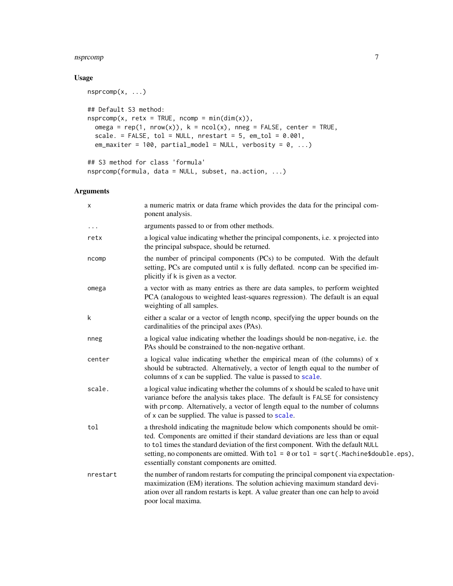#### <span id="page-6-0"></span>nsprcomp 2008 and 2008 and 2008 and 2008 and 2008 and 2008 and 2008 and 2008 and 2008 and 2008 and 2008 and 20

#### Usage

```
nsprcomp(x, ...)
## Default S3 method:
nsprcomp(x, retx = TRUE, ncomp = min(dim(x)),
 omega = rep(1, new(x)), k = ncol(x), nneg = FALSE, center = TRUE,scale. = FALSE, tol = NULL, nrestart = 5, em\_tol = 0.001,em_maxiter = 100, partial_model = NULL, verbosity = 0, ...)
## S3 method for class 'formula'
nsprcomp(formula, data = NULL, subset, na.action, ...)
```
#### Arguments

| X        | a numeric matrix or data frame which provides the data for the principal com-<br>ponent analysis.                                                                                                                                                                                                                                                                                                  |
|----------|----------------------------------------------------------------------------------------------------------------------------------------------------------------------------------------------------------------------------------------------------------------------------------------------------------------------------------------------------------------------------------------------------|
| $\cdots$ | arguments passed to or from other methods.                                                                                                                                                                                                                                                                                                                                                         |
| retx     | a logical value indicating whether the principal components, i.e. x projected into<br>the principal subspace, should be returned.                                                                                                                                                                                                                                                                  |
| ncomp    | the number of principal components (PCs) to be computed. With the default<br>setting, PCs are computed until x is fully deflated. ncomp can be specified im-<br>plicitly if k is given as a vector.                                                                                                                                                                                                |
| omega    | a vector with as many entries as there are data samples, to perform weighted<br>PCA (analogous to weighted least-squares regression). The default is an equal<br>weighting of all samples.                                                                                                                                                                                                         |
| k        | either a scalar or a vector of length ncomp, specifying the upper bounds on the<br>cardinalities of the principal axes (PAs).                                                                                                                                                                                                                                                                      |
| nneg     | a logical value indicating whether the loadings should be non-negative, i.e. the<br>PAs should be constrained to the non-negative orthant.                                                                                                                                                                                                                                                         |
| center   | a logical value indicating whether the empirical mean of (the columns) of x<br>should be subtracted. Alternatively, a vector of length equal to the number of<br>columns of x can be supplied. The value is passed to scale.                                                                                                                                                                       |
| scale.   | a logical value indicating whether the columns of x should be scaled to have unit<br>variance before the analysis takes place. The default is FALSE for consistency<br>with prcomp. Alternatively, a vector of length equal to the number of columns<br>of x can be supplied. The value is passed to scale.                                                                                        |
| tol      | a threshold indicating the magnitude below which components should be omit-<br>ted. Components are omitted if their standard deviations are less than or equal<br>to tol times the standard deviation of the first component. With the default NULL<br>setting, no components are omitted. With $tol = 0$ or $tol = sqrt($ . Machine\$double.eps),<br>essentially constant components are omitted. |
| nrestart | the number of random restarts for computing the principal component via expectation-<br>maximization (EM) iterations. The solution achieving maximum standard devi-<br>ation over all random restarts is kept. A value greater than one can help to avoid<br>poor local maxima.                                                                                                                    |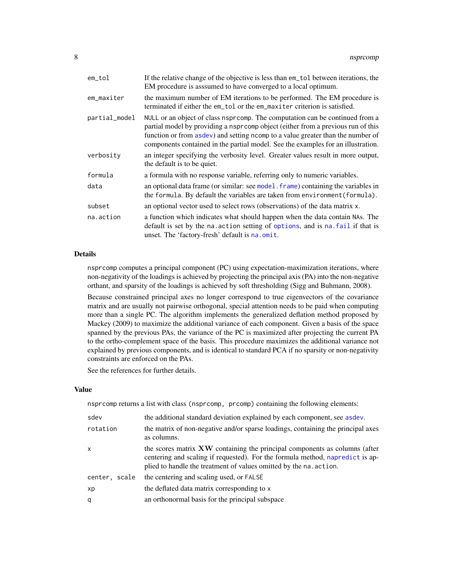<span id="page-7-0"></span>

| $em\_tol$     | If the relative change of the objective is less than em_tol between iterations, the<br>EM procedure is asssumed to have converged to a local optimum.                                                                                                                                                                                    |
|---------------|------------------------------------------------------------------------------------------------------------------------------------------------------------------------------------------------------------------------------------------------------------------------------------------------------------------------------------------|
| em_maxiter    | the maximum number of EM iterations to be performed. The EM procedure is<br>terminated if either the em_tol or the em_maxiter criterion is satisfied.                                                                                                                                                                                    |
| partial_model | NULL or an object of class nsprcomp. The computation can be continued from a<br>partial model by providing a nspr comp object (either from a previous run of this<br>function or from asdev) and setting ncomp to a value greater than the number of<br>components contained in the partial model. See the examples for an illustration. |
| verbosity     | an integer specifying the verbosity level. Greater values result in more output,<br>the default is to be quiet.                                                                                                                                                                                                                          |
| formula       | a formula with no response variable, referring only to numeric variables.                                                                                                                                                                                                                                                                |
| data          | an optional data frame (or similar: see model, frame) containing the variables in<br>the formula. By default the variables are taken from environment (formula).                                                                                                                                                                         |
| subset        | an optional vector used to select rows (observations) of the data matrix x.                                                                                                                                                                                                                                                              |
| na.action     | a function which indicates what should happen when the data contain NAs. The<br>default is set by the na. action setting of options, and is na. fail if that is<br>unset. The 'factory-fresh' default is na. omit.                                                                                                                       |

#### Details

nsprcomp computes a principal component (PC) using expectation-maximization iterations, where non-negativity of the loadings is achieved by projecting the principal axis (PA) into the non-negative orthant, and sparsity of the loadings is achieved by soft thresholding (Sigg and Buhmann, 2008).

Because constrained principal axes no longer correspond to true eigenvectors of the covariance matrix and are usually not pairwise orthogonal, special attention needs to be paid when computing more than a single PC. The algorithm implements the generalized deflation method proposed by Mackey (2009) to maximize the additional variance of each component. Given a basis of the space spanned by the previous PAs, the variance of the PC is maximized after projecting the current PA to the ortho-complement space of the basis. This procedure maximizes the additional variance not explained by previous components, and is identical to standard PCA if no sparsity or non-negativity constraints are enforced on the PAs.

See the references for further details.

#### Value

nsprcomp returns a list with class (nsprcomp, prcomp) containing the following elements:

| sdev          | the additional standard deviation explained by each component, see as dev.                                                                                                                                                        |
|---------------|-----------------------------------------------------------------------------------------------------------------------------------------------------------------------------------------------------------------------------------|
| rotation      | the matrix of non-negative and/or sparse loadings, containing the principal axes<br>as columns.                                                                                                                                   |
| $\mathsf{x}$  | the scores matrix XW containing the principal components as columns (after<br>centering and scaling if requested). For the formula method, napredict is ap-<br>plied to handle the treatment of values omitted by the na. action. |
| center, scale | the centering and scaling used, or FALSE                                                                                                                                                                                          |
| xp            | the deflated data matrix corresponding to x                                                                                                                                                                                       |
| q             | an orthonormal basis for the principal subspace                                                                                                                                                                                   |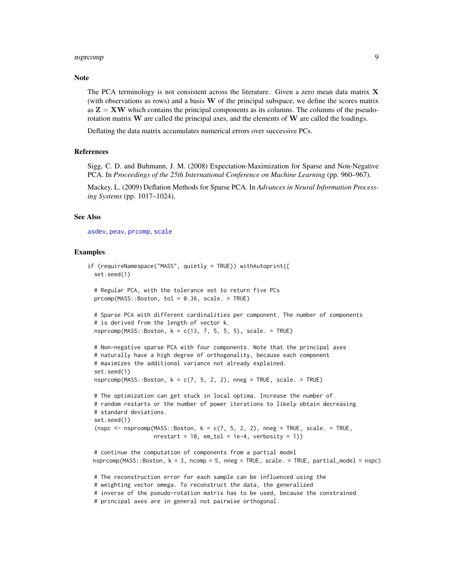#### <span id="page-8-0"></span>nsprcomp 99 and 200 million of the state of the state of the state of the state of the state of the state of the state of the state of the state of the state of the state of the state of the state of the state of the state

#### **Note**

The PCA terminology is not consistent across the literature. Given a zero mean data matrix  $X$ (with observations as rows) and a basis  $W$  of the principal subspace, we define the scores matrix as  $Z = XW$  which contains the principal components as its columns. The columns of the pseudorotation matrix  $W$  are called the principal axes, and the elements of  $W$  are called the loadings.

Deflating the data matrix accumulates numerical errors over successive PCs.

#### References

Sigg, C. D. and Buhmann, J. M. (2008) Expectation-Maximization for Sparse and Non-Negative PCA. In *Proceedings of the 25th International Conference on Machine Learning* (pp. 960–967).

Mackey, L. (2009) Deflation Methods for Sparse PCA. In *Advances in Neural Information Processing Systems* (pp. 1017–1024).

#### See Also

[asdev](#page-1-1), [peav](#page-9-1), [prcomp](#page-0-0), [scale](#page-0-0)

#### Examples

```
if (requireNamespace("MASS", quietly = TRUE)) withAutoprint({
 set.seed(1)
 # Regular PCA, with the tolerance set to return five PCs
 prcomp(MASS::Boston, tol = 0.36, scale. = TRUE)
 # Sparse PCA with different cardinalities per component. The number of components
 # is derived from the length of vector k.
 nsprcomp(MASS::Boston, k = c(13, 7, 5, 5, 5), scale. = TRUE)
 # Non-negative sparse PCA with four components. Note that the principal axes
 # naturally have a high degree of orthogonality, because each component
 # maximizes the additional variance not already explained.
 set.seed(1)
 nsprcomp(MASS::Boston, k = c(7, 5, 2, 2), nneg = TRUE, scale. = TRUE)
 # The optimization can get stuck in local optima. Increase the number of
 # random restarts or the number of power iterations to likely obtain decreasing
 # standard deviations.
 set.seed(1)
 (nspc \leq nsprcomp(MASS::Boston, k = c(7, 5, 2, 2), nneg = TRUE, scale. = TRUE,
                   nrestart = 10, em_tol = 1e-4, verbosity = 1))
 # continue the computation of components from a partial model
 nsprcomp(MASS::Boston, k = 3, ncomp = 5, nneg = TRUE, scale. = TRUE, partial_model = nspc)
 # The reconstruction error for each sample can be influenced using the
 # weighting vector omega. To reconstruct the data, the generalized
 # inverse of the pseudo-rotation matrix has to be used, because the constrained
 # principal axes are in general not pairwise orthogonal.
```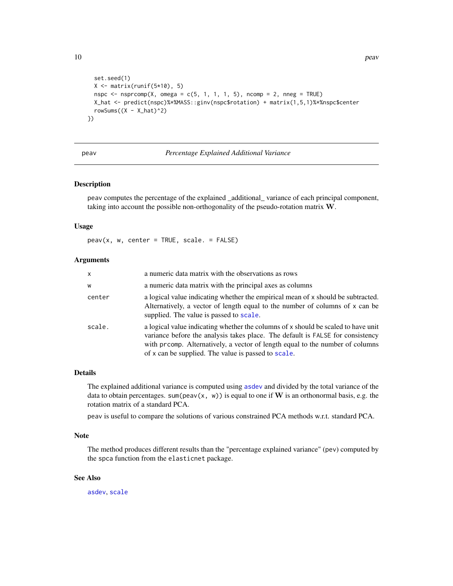```
set.seed(1)
  X \leftarrow matrix(runif(5*10), 5)nspc \leq nsprcomp(X, omega = c(5, 1, 1, 1, 5), ncomp = 2, nneg = TRUE)
  X_hat <- predict(nspc)%*%MASS::ginv(nspc$rotation) + matrix(1,5,1)%*%nspc$center
  rowSums((X - X_{hat})<sup>2</sup>)
})
```
#### <span id="page-9-1"></span>peav *Percentage Explained Additional Variance*

#### Description

peav computes the percentage of the explained \_additional\_ variance of each principal component, taking into account the possible non-orthogonality of the pseudo-rotation matrix W.

#### Usage

 $peav(x, w, center = TRUE, scale. = FALSE)$ 

#### Arguments

| x      | a numeric data matrix with the observations as rows                                                                                                                                                                                                                                                         |
|--------|-------------------------------------------------------------------------------------------------------------------------------------------------------------------------------------------------------------------------------------------------------------------------------------------------------------|
| w      | a numeric data matrix with the principal axes as columns                                                                                                                                                                                                                                                    |
| center | a logical value indicating whether the empirical mean of x should be subtracted.<br>Alternatively, a vector of length equal to the number of columns of x can be<br>supplied. The value is passed to scale.                                                                                                 |
| scale. | a logical value indicating whether the columns of x should be scaled to have unit<br>variance before the analysis takes place. The default is FALSE for consistency<br>with prcomp. Alternatively, a vector of length equal to the number of columns<br>of x can be supplied. The value is passed to scale. |

#### Details

The explained additional variance is computed using [asdev](#page-1-1) and divided by the total variance of the data to obtain percentages. sum(peav(x, w)) is equal to one if W is an orthonormal basis, e.g. the rotation matrix of a standard PCA.

peav is useful to compare the solutions of various constrained PCA methods w.r.t. standard PCA.

#### Note

The method produces different results than the "percentage explained variance" (pev) computed by the spca function from the elasticnet package.

#### See Also

[asdev](#page-1-1), [scale](#page-0-0)